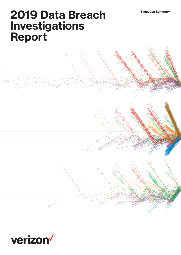# **2019 Data Breach Investigations Report**

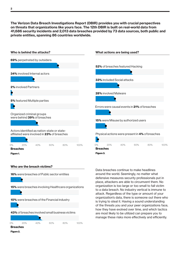**The Verizon Data Breach Investigations Report (DBIR) provides you with crucial perspectives on threats that organizations like yours face. The 12th DBIR is built on real-world data from 41,686 security incidents and 2,013 data breaches provided by 73 data sources, both public and private entities, spanning 86 countries worldwide.**



0% 20% 40% 60% 80% 100%

Breaches

Figure 2.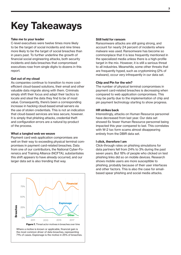# **Key Takeaways**

# **Take me to your leader**

C-level executives were twelve times more likely to be the target of social incidents and nine times more likely to be the target of social breaches than in years past. To further underline the growth of financial social engineering attacks, both security incidents and data breaches that compromised executives rose from single digits to dozens in this report.

### **Get out of my cloud**

As companies continue to transition to more costefficient cloud-based solutions, their email and other valuable data migrate along with them. Criminals simply shift their focus and adapt their tactics to locate and steal the data they find to be of most value. Consequently, there's been a corresponding increase in hacking cloud-based email servers via the use of stolen credentials. This is not an indication that cloud-based services are less secure, however. It is simply that phishing attacks, credential theft and configuration errors are a natural by-product of the process.

# **What a tangled web we weave**

Payment card web application compromises are well on their way to exceeding physical terminal compromises in payment card-related breaches. Data from one of our contributors, the National Cyber-Forensics and Training Alliance (NCFTA), substantiates this shift appears to have already occurred, and our larger data set is also trending that way.



Where a motive is known or applicable, financial gain is the most common driver of data breaches, representing 71% of cases. Espionage is the motive in 25% of breaches.

### **Still held for ransom**

Ransomware attacks are still going strong, and account for nearly 24 percent of incidents where malware was used. Ransomware has become so commonplace that it is less frequently mentioned in the specialized media unless there is a high-profile target in the mix. However, it is still a serious threat to all industries. Meanwhile, some other threats that are frequently hyped, such as cryptomining (2% of malware), occur very infrequently in our data set.

### **Chip and Pin for the win?**

The number of physical terminal compromises in payment card-related breaches is decreasing when compared to web application compromises. This may be partly due to the implementation of chip and pin payment technology starting to show progress.

#### **HR strikes back**

Interestingly, attacks on Human Resource personnel have decreased from last year. Our data set showed 6x fewer Human Resource personnel being impacted this year compared to last. This correlates with W-2 tax form scams almost disappearing entirely from the DBIR data set.

#### **I click, therefore I am**

Click-through rates on phishing simulations for data partners fell from 24% to 3% during the past seven years. But 18% of people who clicked on test phishing links did so on mobile devices. Research shows mobile users are more susceptible to phishing, probably because of their user interfaces and other factors. This is also the case for emailbased spear phishing and social media attacks.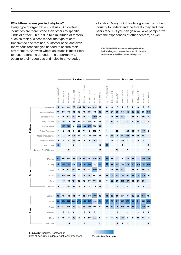# **Which threats does your industry face?**

Every type of organization is at risk. But certain industries are more prone than others to specific kinds of attack. This is due to a multitude of factors, such as their business model, the type of data transmitted and retained, customer base, and even the various technologies needed to secure their environment. Knowing where an attack is most likely to occur offers the defender the opportunity to optimize their resources and helps to drive budget

allocation. Many DBIR readers go directly to their industry to understand the threats they and their peers face. But you can gain valuable perspective from the experiences of other sectors, as well.

**Our 2019 DBIR features a deep dive into industries, and covers the specific threats, motivations and bad actors they face.**

|         |                        |                    |                | <b>Incidents</b> |                 |                  |                       |                   | <b>Breaches</b> |                         |                         |                |              |                 |                         |                       |                         |             |                |
|---------|------------------------|--------------------|----------------|------------------|-----------------|------------------|-----------------------|-------------------|-----------------|-------------------------|-------------------------|----------------|--------------|-----------------|-------------------------|-----------------------|-------------------------|-------------|----------------|
|         |                        | Accommodation (72) | Education (61) | Finance (52)     | Healthcare (62) | Information (51) | Manufacturing (31-33) | Professional (54) | Public (92)     | Retail (44-45)          | Accommodation (72)      | Education (61) | Finance (52) | Healthcare (62) | Information (51)        | Manufacturing (31-33) | Professional (54)       | Public (92) | Retail (44-45) |
|         | Crimeware              | 17                 | 31             | 52               | 76              | 206              | 58                    | 60                | 4,758           | 21                      | 3                       | 3              | 7            | 1               | 3                       | 5                     | 8                       | 8           | 3              |
|         | Web Applications       | 14                 | 30             | 76               | 71              | 75               | 40                    | 79                | 93              | 92                      | 14                      | 24             | 70           | 65              | 45                      | 36                    | 73                      | 33          | 88             |
|         | Privilege Misuse       | 1                  | 19             | 100              | 110             | 14               | 36                    | 13                | 13,021          | 16                      | 1                       | 9              | 45           | 85              | 7                       | 14                    | 10                      | 40          | 14             |
|         | Everything Else        | 7                  | 24             | 29               | 39              | 23               | 23                    | 59                | 61              | 14                      | з                       | 20             | 12           | 27              | 17                      | 8                     | 26                      | 37          | 8              |
| Pattern | Denial of Service      |                    | 226            | 575              | 3               | 684              | 163                   | 408               | 992             | 54                      |                         |                |              |                 |                         |                       | 1                       |             |                |
|         | Cyber-Espionage        | 1                  | 6              | 32               | 3               | 22               | 16                    | 9                 | 143             | $\overline{\mathbf{2}}$ | 1                       | 5              | 22           | $\overline{2}$  | 20                      | 13                    | 8                       | 140         | 2              |
|         | Miscellaneous Errors   | 5                  | 37             | 36               | 104             | 69               | 14                    | 30                | 1,515           | 12                      | 2                       | 35             | 34           | 97              | 65                      | 12                    | 28                      | 58          | 11             |
|         | Lost and Stolen Assets | 4                  | 9              | 9                | 62              | 4                | 5                     | 14                | 2,820           | 7                       | 1                       | 3              | 2            | 28              | 1                       | 2                     | 5                       | 16          | 3              |
|         | Point of Sale          | 40                 |                |                  | 2               |                  |                       |                   |                 | 10                      | 38                      |                |              | 2               |                         |                       |                         |             | 9              |
|         | Payment Card Skimmers  |                    |                | 21               |                 | 1                |                       |                   |                 | 10                      |                         |                | 18           |                 | 1                       |                       |                         |             | 4              |
|         | Malware                | 61                 | 50             | 96               | 85              | 244              | 88                    | 91                | 4,922           | 90                      | 46                      | 16             | 33           | 7               | 33                      | 26                    | 29                      | 153         | 70             |
|         | Hacking                | 45                 | 279            | 699              | 100             | 796              | 233                   | 524               | 1,279           | 162                     | 42                      | 42             | 95           | 78              | 75                      | 58                    | 100                     | 205         | 102            |
|         | Misuse                 | 1                  | 19             | 100              | 110             | 14               | 36                    | 13                | 13,021          | 16                      | 1                       | 9              | 45           | 85              | 7                       | 14                    | 10                      | 40          | 14             |
| Action  | Social                 | 18                 | 43             | 88               | 91              | 38               | 56                    | 100               | 201             | 15                      | 14                      | 38             | 69           | 78              | 32                      | 42                    | 69                      | 173         | 10             |
|         | Error                  | 5                  | 40             | 38               | 124             | 72               | 16                    | 37                | 4,317           | 15                      | 2                       | 37             | 36           | 110             | 67                      | 13                    | 31                      | 66          | 14             |
|         | Physical               | 5                  | 6              | 32               | 47              | 5                | 4                     | 8                 | 20              | 16                      | $\overline{\mathbf{2}}$ | 1              | 18           | 17              | $\overline{\mathbf{2}}$ | $\mathbf{2}$          | 3                       | 9           | 6              |
|         |                        |                    |                |                  |                 |                  |                       |                   |                 |                         |                         |                |              |                 |                         |                       |                         |             |                |
| Asset   | User Dev               | 40                 | 45             | 69               | 71              | 41               | 62                    | 58                | 3,009           | 30                      | 33                      | 32             | 38           | 29              | 19                      | 26                    | 29                      | 165         | 16             |
|         | Server                 | 68                 | 324            | 722              | 225             | 874              | 259                   | 559               | 1,244           | 184                     | 55                      | 60             | 117          | 165             | 133                     | 64                    | 111                     | 131         | 118            |
|         | Person                 | 18                 | 45             | 90               | 93              | 38               | 58                    | 104               | 201             | 15                      | 14                      | 40             | 70           | 80              | 32                      | 44                    | 73                      | 173         | 10             |
|         | Network                |                    | 2              | 1                | 3               | 1                | 1                     | 4                 | 3               | 1                       |                         | 1              | 1            |                 | 1                       | 1                     | $\overline{\mathbf{2}}$ | 1           | 1              |
|         | Media                  | 1                  | 10             | 16               | 98              | $\mathbf{2}$     | 2                     | 20                | 777             | 8                       | 1                       | 6              | 13           | 79              | $\overline{2}$          | $\mathbf{2}$          | 14                      | 31          | 7              |
|         | Kiosk/Term             |                    |                | 24               | 1               | 1                | 1                     |                   |                 | 9                       |                         |                | 17           | 1               | 1                       |                       |                         |             | 4              |

Figure 39. Industry comparison **Figure 39.** Industry Comparison (left: all security incidents, right: only breaches)

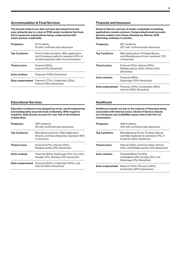# **Accommodation & Food Services**

**The breach totals in our data set have decreased from last year, primarily due to a lack of POS vendor incidents that have led to numerous organizations being compromised with stolen partner credentials.**

| <b>Frequency</b>     | 87 incidents.<br>61 with confirmed data disclosure                                                                              |
|----------------------|---------------------------------------------------------------------------------------------------------------------------------|
| Top 3 patterns       | Point of Sale intrusions, Web applications<br>and Crimeware patterns represent 93% of<br>all data breaches within Accommodation |
| <b>Threat actors</b> | External (95%).<br>Internal (5%) (breaches)                                                                                     |
| <b>Actor motives</b> | Financial (100%) (breaches)                                                                                                     |
| Data compromised     | Payment (77%), Credentials (25%),<br>Internal (19%) (breaches)                                                                  |

# **Financial and Insurance**

**Denial of Service and use of stolen credentials on banking applications remain common. Compromised email accounts become evident once those attacked are filtered. ATM Skimming continues to decline.**

| <b>Frequency</b>     | 927 incidents.<br>207 with confirmed data disclosure                                         |
|----------------------|----------------------------------------------------------------------------------------------|
| Top 3 patterns       | Web Applications, Privilege Misuse,<br>and Miscellaneous Errors represent 72%<br>of breaches |
| <b>Threat actors</b> | External (72%), Internal (36%),<br>Multiple parties (10%), Partner (2%)<br>(breaches)        |
| <b>Actor motives</b> | Financial (88%).<br>Espionage (10%) (breaches)                                               |
| Data compromised     | Personal (43%), Credentials (38%),<br>Internal (38%) (breaches)                              |

# **Educational Services**

**Education continues to be plagued by errors, social engineering and inadequately secured email credentials. With regard to incidents, DoS attacks account for over half of all incidents in Education.**

| <b>Frequency</b>     | 382 incidents.<br>99 with confirmed data disclosure                                                |
|----------------------|----------------------------------------------------------------------------------------------------|
| Top 3 patterns       | Miscellaneous Errors, Web Application<br>Attacks, and Everything Else represent 80%<br>of breaches |
| <b>Threat actors</b> | External (57%), Internal (45%),<br>Multiple parties (2%) (breaches)                                |
| <b>Actor motives</b> | Financial (80%), Espionage (11%), Fun (4%),<br>Grudge (2%), Ideology (2%) (breaches)               |
| Data compromised     | Personal (55%), Credentials (53%), and<br>Internal (35%) (breaches)                                |

#### **Healthcare**

**Healthcare stands out due to the majority of breaches being associated with internal actors. Denial of Service attacks are infrequent, but availability issues arise in the form of ransomware.**

| <b>Frequency</b>     | 466 incidents.<br>304 with confirmed data disclosure                                                           |
|----------------------|----------------------------------------------------------------------------------------------------------------|
| Top 3 patterns       | Miscellaneous Errors, Privilege Misuse<br>and Web Applications represent 81% of<br>incidents within Healthcare |
| <b>Threat actors</b> | Internal (59%), External (42%), Partner<br>(4%), and Multiple parties (3%) (breaches)                          |
| <b>Actor motives</b> | Financial (83%). Fun (6%).<br>Convenience (3%), Grudge (3%), and<br>Espionage (2%) (breaches)                  |
| Data compromised     | Medical (72%), Personal (34%),<br>Credentials (25%) (breaches)                                                 |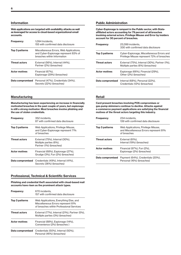#### **Information**

**Web applications are targeted with availability attacks as well as leveraged for access to cloud-based organizational email accounts.**

| <b>Frequency</b>     | 1.094 Incidents.<br>155 with confirmed data disclosure                                                         |
|----------------------|----------------------------------------------------------------------------------------------------------------|
| Top 3 patterns       | Miscellaneous Errors, Web Applications,<br>and Cyber-Espionage represent 83% of<br>breaches within Information |
| <b>Threat actors</b> | External (56%), Internal (44%),<br>Partner (2%) (breaches)                                                     |
| <b>Actor motives</b> | Financial (67%).<br>Espionage (29%) (breaches)                                                                 |
| Data compromised     | Personal (47%), Credentials (34%),<br>Secrets (22%) (breaches)                                                 |

# **Public Administration**

**Cyber-Espionage is rampant in the Public sector, with Stateaffiliated actors accounting for 79 percent of all breaches involving external actors. Privilege Misuse and Error by insiders account for 30 percent of breaches.**

| <b>Frequency</b>     | 23.399 incidents.<br>330 with confirmed data disclosure                                 |
|----------------------|-----------------------------------------------------------------------------------------|
| Top 3 patterns       | Cyber-Espionage, Miscellaneous Errors and<br>Privilege Misuse represent 72% of breaches |
| <b>Threat actors</b> | External (75%), Internal (30%), Partner (1%),<br>Multiple parties (6%) (breaches)       |
| <b>Actor motives</b> | Espionage (66%), Financial (29%),<br>Other (2%) (breaches)                              |
| Data compromised     | Internal (68%), Personal (22%),<br>Credentials (12%) (breaches)                         |

#### **Retail**

**Card present breaches involving POS compromises or gas-pump skimmers continue to decline. Attacks against e-commerce payment applications are satisfying the financial motives of the threat actors targeting this industry.**

| <b>Frequency</b>     | 234 incidents.<br>139 with confirmed data disclosure                                         |
|----------------------|----------------------------------------------------------------------------------------------|
| Top 3 patterns       | Web Applications, Privilege Misuse,<br>and Miscellaneous Errors represent 81%<br>of breaches |
| <b>Threat actors</b> | External (81%).<br>Internal (19%) (breaches)                                                 |
| <b>Actor motives</b> | Financial (97%), Fun (2%).<br>Espionage (2%) (breaches)                                      |
| Data compromised     | Payment (64%), Credentials (20%),<br>Personal (16%) (breaches)                               |

#### **Manufacturing**

**Manufacturing has been experiencing an increase in financially motivated breaches in the past couple of years, but espionage is still a strong motivator. Most breaches involve phishing and the use of stolen credentials.**

| <b>Frequency</b>     | 352 incidents,<br>87 with confirmed data disclosure                                     |
|----------------------|-----------------------------------------------------------------------------------------|
| Top 3 patterns       | Web Applications, Privilege Misuse,<br>and Cyber-Espionage represent 71%<br>of breaches |
| <b>Threat actors</b> | External (75%), Internal (30%),<br>Multiple parties (6%),<br>Partner (1%) (breaches)    |
| <b>Actor motives</b> | Financial (68%), Espionage (27%),<br>Grudge (3%), Fun (2%) (breaches)                   |
| Data compromised     | Credentials (49%), Internal (41%),<br>Secrets (36%) (breaches)                          |

### **Professional, Technical & Scientific Services**

**Phishing and credential theft associated with cloud-based mail accounts have risen as the prominent attack types.**

| <b>Frequency</b>     | 670 incidents.<br>157 with confirmed data disclosure                                                                     |
|----------------------|--------------------------------------------------------------------------------------------------------------------------|
| Top 3 patterns       | Web Applications, Everything Else, and<br>Miscellaneous Errors represent 81%<br>of breaches within Professional Services |
| <b>Threat actors</b> | External (77%), Internal (21%), Partner (5%),<br>Multiple parties (3%) (breaches)                                        |
| <b>Actor motives</b> | Financial (88%), Espionage (14%),<br>Convenience (2%) (breaches)                                                         |
| Data compromised     | Credentials (50%), Internal (50%),<br>Personal (46%) (breaches)                                                          |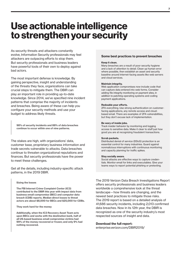# **Use actionable intelligence to strengthen your security**

As security threats and attackers constantly evolve, Information Security professionals may feel attackers are outpacing efforts to stop them. But security professionals and business leaders have powerful tools of their own to deploy against bad actors.

The most important defense is knowledge. By gaining perspective, insight and understanding of the threats they face, organizations can take crucial steps to mitigate them. The DBIR can play an important role in providing up-to-date knowledge. Since 2014, we've specified nine incident patterns that comprise the majority of incidents and breaches. Being aware of these can help you configure your security methods and use your budget to address likely threats.

**98% of security incidents and 88% of data breaches continue to occur within one of nine patterns.**

The stakes are high, with organizations' data, customer base, proprietary business information and trade secrets vulnerable to attacks. Data breaches continue to threaten organizational reputations and finances. But security professionals have the power to meet these challenges.

Get all the details, including industry-specific attack patterns, in the 2019 DBIR.

#### **Sizing the losses**

**The FBI Internet Crime Complaint Center (IC3) contributed to the DBIR this year with impact data from business email compromise (BEC) and computer data breach (CDB) reports. Median direct losses to threat actors are about \$8,000 for BECs and \$25,000 for CDBs.**

**They work hard for the money**

**Additionally, when the IC3 Recovery Asset Team acts upon BECs and works with the destination bank, half of all US-based business email compromise victims had 99% of the money recovered or frozen; and only 9% had nothing recovered.**

#### **Some best practices to prevent breaches**

#### **Keep it clean.**

Many breaches are a result of poor security hygiene and a lack of attention to detail. Clean up human error where possible, then establish an asset and security baseline around internet-facing assets like web servers and cloud services.

#### **Maintain integrity.**

Web application compromises now include code that can capture data entered into web forms. Consider adding file integrity monitoring on payment sites, in addition to patching operating systems and coding payment applications.

#### **Redouble your efforts.**

2FA everything. Use strong authentication on customerfacing applications, any remote access and cloudbased email. There are examples of 2FA vulnerabilities, but they don't excuse lack of implementation.

#### **Be wary of inside jobs.**

Track insider behavior by monitoring and logging access to sensitive data. Make it clear to staff just how good you are at recognizing fraudulent transactions.

#### **Scrub packets.**

Distributed denial of service (DDoS) protection is an essential control for many industries. Guard against nonmalicious interruptions with continuous monitoring and capacity planning for traffic spikes.

#### **Stay socially aware.**

Social attacks are effective ways to capture credentials. Monitor email for links and executables. Give your teams ways to report potential phishing or pretexting.

The 2019 Verizon Data Breach Investigations Report offers security professionals and business leaders worldwide a comprehensive look at the threat landscape—how threats are changing, and the newest best practices to mitigate those risks. The 2019 report is based on a detailed analysis of 41,686 security incidents, including 2,013 confirmed data breaches. Now in its 12th year, the DBIR is recognized as one of the security industry's most respected sources of insight and data.

#### **Download the full report:**

enterprise.verizon.com/DBIR2019/